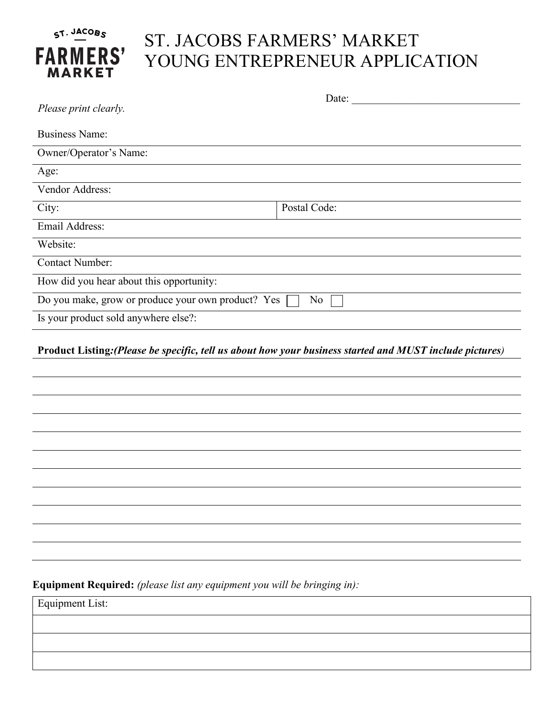## ST. JACOBS **FARMERS' MARKET**

## ST. JACOBS FARMERS' MARKET YOUNG ENTREPRENEUR APPLICATION

| Please print clearly.                                    | Date:        |  |
|----------------------------------------------------------|--------------|--|
| <b>Business Name:</b>                                    |              |  |
| Owner/Operator's Name:                                   |              |  |
| Age:                                                     |              |  |
| Vendor Address:                                          |              |  |
| City:                                                    | Postal Code: |  |
| Email Address:                                           |              |  |
| Website:                                                 |              |  |
| <b>Contact Number:</b>                                   |              |  |
| How did you hear about this opportunity:                 |              |  |
| Do you make, grow or produce your own product? Yes<br>No |              |  |
| Is your product sold anywhere else?:                     |              |  |
|                                                          |              |  |

**Product Listing***:(Please be specific, tell us about how your business started and MUST include pictures)*

**Equipment Required:** *(please list any equipment you will be bringing in):*

Equipment List: